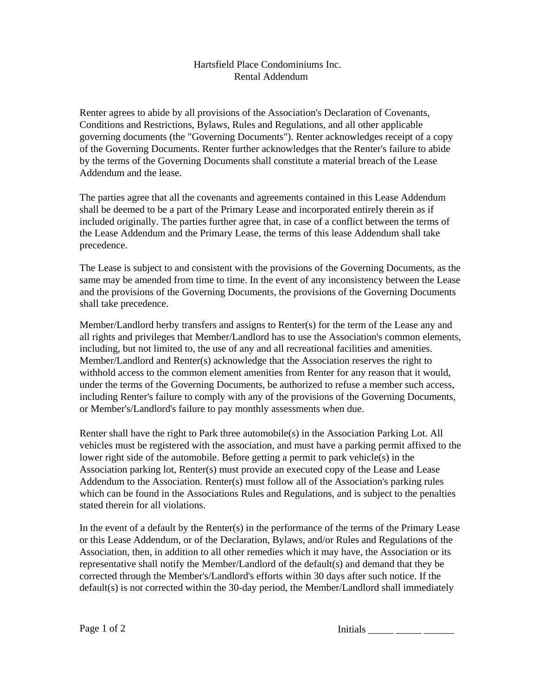## Hartsfield Place Condominiums Inc. Rental Addendum

Renter agrees to abide by all provisions of the Association's Declaration of Covenants, Conditions and Restrictions, Bylaws, Rules and Regulations, and all other applicable governing documents (the "Governing Documents"). Renter acknowledges receipt of a copy of the Governing Documents. Renter further acknowledges that the Renter's failure to abide by the terms of the Governing Documents shall constitute a material breach of the Lease Addendum and the lease.

The parties agree that all the covenants and agreements contained in this Lease Addendum shall be deemed to be a part of the Primary Lease and incorporated entirely therein as if included originally. The parties further agree that, in case of a conflict between the terms of the Lease Addendum and the Primary Lease, the terms of this lease Addendum shall take precedence.

The Lease is subject to and consistent with the provisions of the Governing Documents, as the same may be amended from time to time. In the event of any inconsistency between the Lease and the provisions of the Governing Documents, the provisions of the Governing Documents shall take precedence.

Member/Landlord herby transfers and assigns to Renter(s) for the term of the Lease any and all rights and privileges that Member/Landlord has to use the Association's common elements, including, but not limited to, the use of any and all recreational facilities and amenities. Member/Landlord and Renter(s) acknowledge that the Association reserves the right to withhold access to the common element amenities from Renter for any reason that it would, under the terms of the Governing Documents, be authorized to refuse a member such access, including Renter's failure to comply with any of the provisions of the Governing Documents, or Member's/Landlord's failure to pay monthly assessments when due.

Renter shall have the right to Park three automobile(s) in the Association Parking Lot. All vehicles must be registered with the association, and must have a parking permit affixed to the lower right side of the automobile. Before getting a permit to park vehicle(s) in the Association parking lot, Renter(s) must provide an executed copy of the Lease and Lease Addendum to the Association. Renter(s) must follow all of the Association's parking rules which can be found in the Associations Rules and Regulations, and is subject to the penalties stated therein for all violations.

In the event of a default by the Renter(s) in the performance of the terms of the Primary Lease or this Lease Addendum, or of the Declaration, Bylaws, and/or Rules and Regulations of the Association, then, in addition to all other remedies which it may have, the Association or its representative shall notify the Member/Landlord of the default(s) and demand that they be corrected through the Member's/Landlord's efforts within 30 days after such notice. If the default(s) is not corrected within the 30-day period, the Member/Landlord shall immediately

Page 1 of 2 Initials